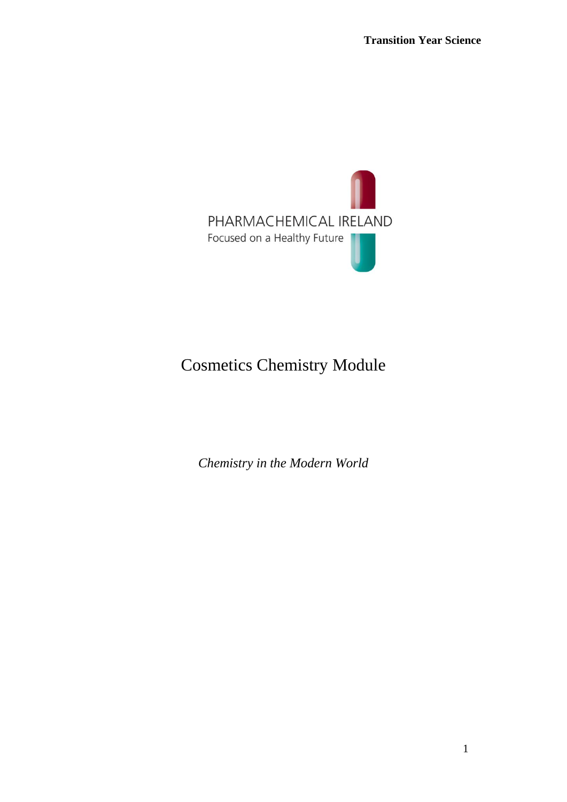

# Cosmetics Chemistry Module

*Chemistry in the Modern World*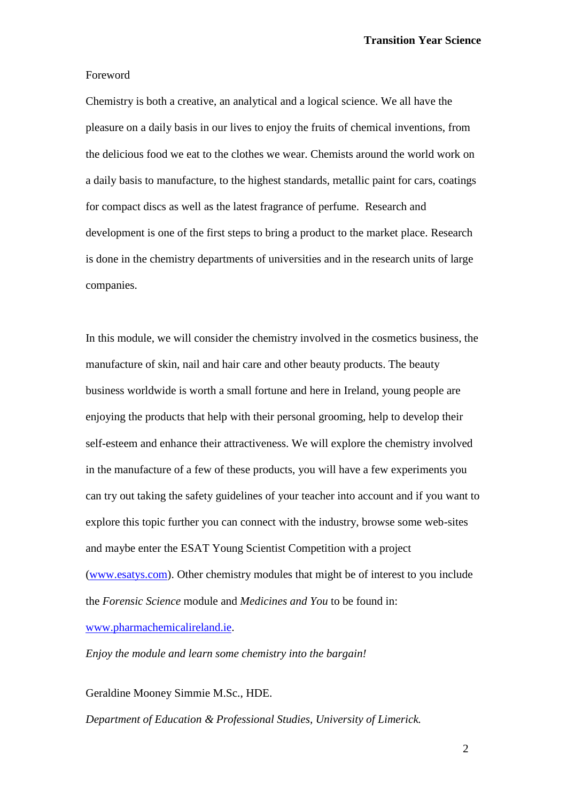#### Foreword

Chemistry is both a creative, an analytical and a logical science. We all have the pleasure on a daily basis in our lives to enjoy the fruits of chemical inventions, from the delicious food we eat to the clothes we wear. Chemists around the world work on a daily basis to manufacture, to the highest standards, metallic paint for cars, coatings for compact discs as well as the latest fragrance of perfume. Research and development is one of the first steps to bring a product to the market place. Research is done in the chemistry departments of universities and in the research units of large companies.

In this module, we will consider the chemistry involved in the cosmetics business, the manufacture of skin, nail and hair care and other beauty products. The beauty business worldwide is worth a small fortune and here in Ireland, young people are enjoying the products that help with their personal grooming, help to develop their self-esteem and enhance their attractiveness. We will explore the chemistry involved in the manufacture of a few of these products, you will have a few experiments you can try out taking the safety guidelines of your teacher into account and if you want to explore this topic further you can connect with the industry, browse some web-sites and maybe enter the ESAT Young Scientist Competition with a project [\(www.esatys.com\)](http://www.esatys.com/). Other chemistry modules that might be of interest to you include the *Forensic Science* module and *Medicines and You* to be found in: [www.pharmachemicalireland.ie.](http://www.pharmachemicalireland.ie/)

*Enjoy the module and learn some chemistry into the bargain!*

Geraldine Mooney Simmie M.Sc., HDE.

*Department of Education & Professional Studies, University of Limerick.*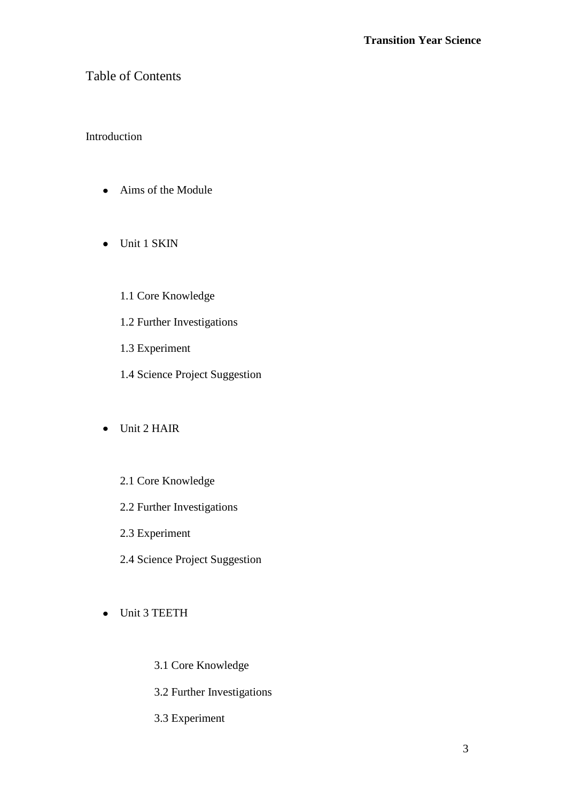# Table of Contents

# Introduction

- Aims of the Module
- Unit 1 SKIN
	- 1.1 Core Knowledge
	- 1.2 Further Investigations
	- 1.3 Experiment
	- 1.4 Science Project Suggestion
- Unit 2 HAIR
	- 2.1 Core Knowledge
	- 2.2 Further Investigations
	- 2.3 Experiment
	- 2.4 Science Project Suggestion
- Unit 3 TEETH
	- 3.1 Core Knowledge
	- 3.2 Further Investigations
	- 3.3 Experiment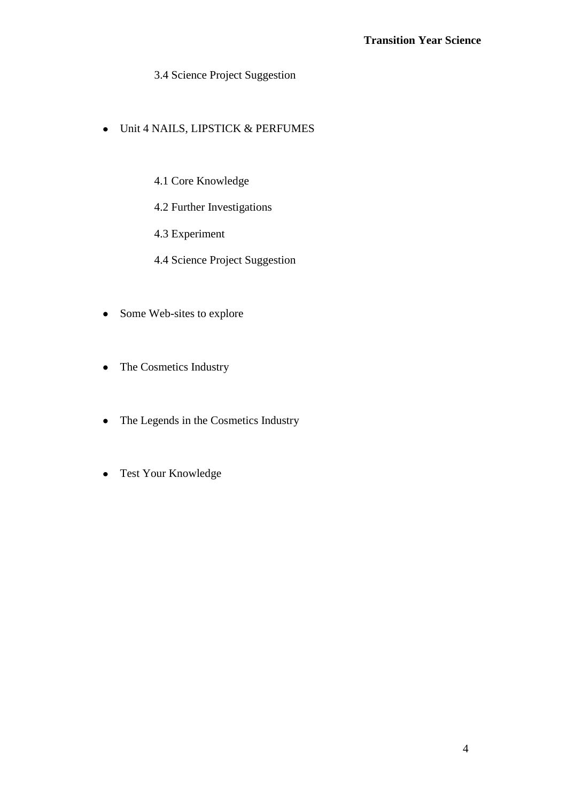3.4 Science Project Suggestion

- Unit 4 NAILS, LIPSTICK & PERFUMES
	- 4.1 Core Knowledge
	- 4.2 Further Investigations
	- 4.3 Experiment
	- 4.4 Science Project Suggestion
- Some Web-sites to explore
- The Cosmetics Industry  $\bullet$
- The Legends in the Cosmetics Industry
- Test Your Knowledge $\bullet$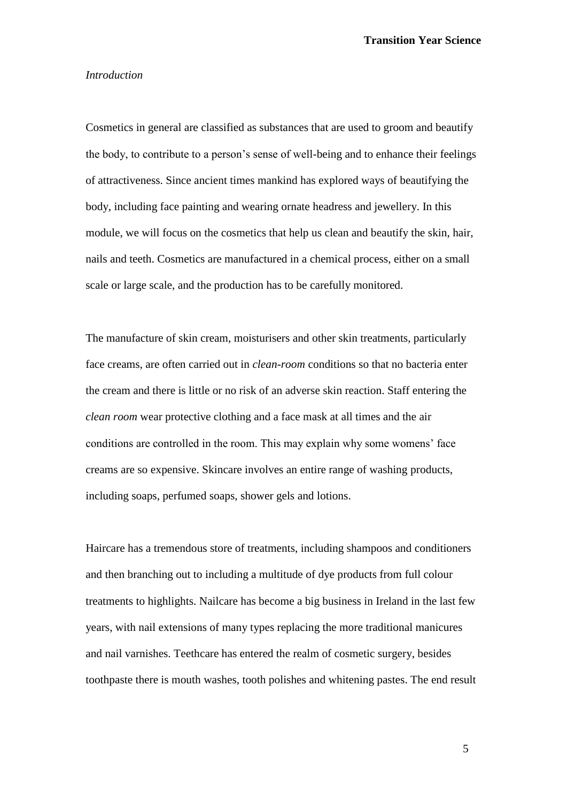#### *Introduction*

Cosmetics in general are classified as substances that are used to groom and beautify the body, to contribute to a person's sense of well-being and to enhance their feelings of attractiveness. Since ancient times mankind has explored ways of beautifying the body, including face painting and wearing ornate headress and jewellery. In this module, we will focus on the cosmetics that help us clean and beautify the skin, hair, nails and teeth. Cosmetics are manufactured in a chemical process, either on a small scale or large scale, and the production has to be carefully monitored.

The manufacture of skin cream, moisturisers and other skin treatments, particularly face creams, are often carried out in *clean-room* conditions so that no bacteria enter the cream and there is little or no risk of an adverse skin reaction. Staff entering the *clean room* wear protective clothing and a face mask at all times and the air conditions are controlled in the room. This may explain why some womens' face creams are so expensive. Skincare involves an entire range of washing products, including soaps, perfumed soaps, shower gels and lotions.

Haircare has a tremendous store of treatments, including shampoos and conditioners and then branching out to including a multitude of dye products from full colour treatments to highlights. Nailcare has become a big business in Ireland in the last few years, with nail extensions of many types replacing the more traditional manicures and nail varnishes. Teethcare has entered the realm of cosmetic surgery, besides toothpaste there is mouth washes, tooth polishes and whitening pastes. The end result

5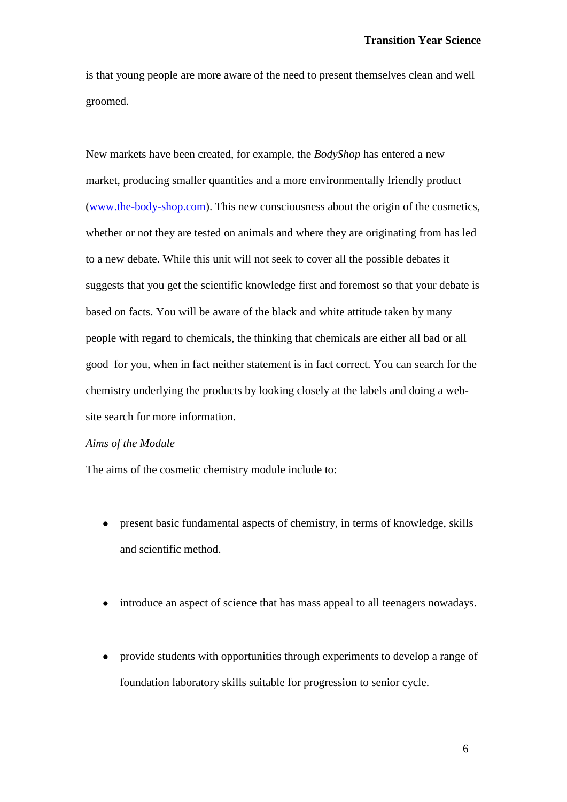is that young people are more aware of the need to present themselves clean and well groomed.

New markets have been created, for example, the *BodyShop* has entered a new market, producing smaller quantities and a more environmentally friendly product [\(www.the-body-shop.com\)](http://www.the-body-shop.com/). This new consciousness about the origin of the cosmetics, whether or not they are tested on animals and where they are originating from has led to a new debate. While this unit will not seek to cover all the possible debates it suggests that you get the scientific knowledge first and foremost so that your debate is based on facts. You will be aware of the black and white attitude taken by many people with regard to chemicals, the thinking that chemicals are either all bad or all good for you, when in fact neither statement is in fact correct. You can search for the chemistry underlying the products by looking closely at the labels and doing a website search for more information.

### *Aims of the Module*

The aims of the cosmetic chemistry module include to:

- present basic fundamental aspects of chemistry, in terms of knowledge, skills and scientific method.
- introduce an aspect of science that has mass appeal to all teenagers nowadays.
- provide students with opportunities through experiments to develop a range of foundation laboratory skills suitable for progression to senior cycle.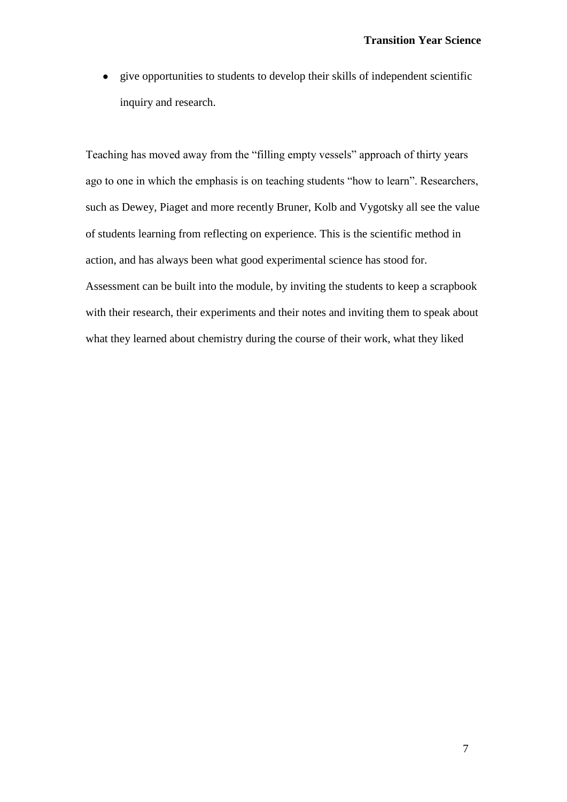give opportunities to students to develop their skills of independent scientific  $\bullet$ inquiry and research.

Teaching has moved away from the "filling empty vessels" approach of thirty years ago to one in which the emphasis is on teaching students "how to learn". Researchers, such as Dewey, Piaget and more recently Bruner, Kolb and Vygotsky all see the value of students learning from reflecting on experience. This is the scientific method in action, and has always been what good experimental science has stood for. Assessment can be built into the module, by inviting the students to keep a scrapbook with their research, their experiments and their notes and inviting them to speak about what they learned about chemistry during the course of their work, what they liked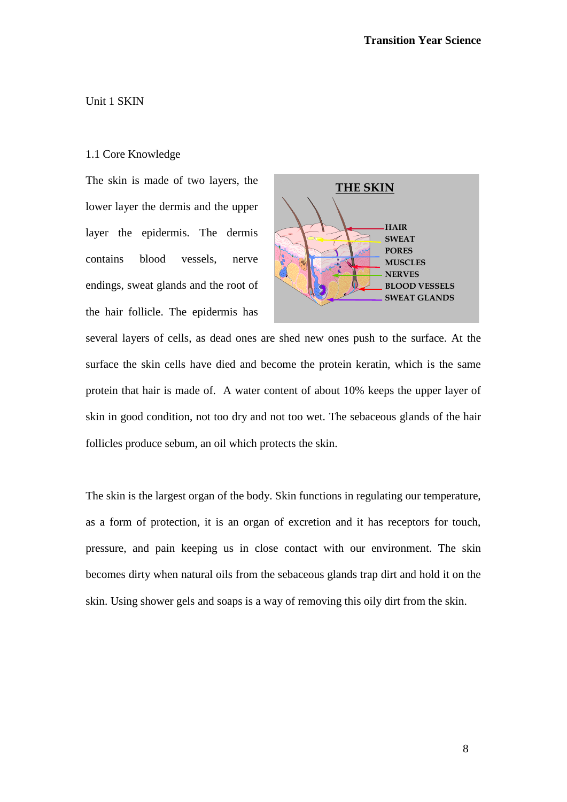### Unit 1 SKIN

#### 1.1 Core Knowledge

The skin is made of two layers, the lower layer the dermis and the upper layer the epidermis. The dermis contains blood vessels, nerve endings, sweat glands and the root of the hair follicle. The epidermis has



several layers of cells, as dead ones are shed new ones push to the surface. At the surface the skin cells have died and become the protein keratin, which is the same protein that hair is made of. A water content of about 10% keeps the upper layer of skin in good condition, not too dry and not too wet. The sebaceous glands of the hair follicles produce sebum, an oil which protects the skin.

The skin is the largest organ of the body. Skin functions in regulating our temperature, as a form of protection, it is an organ of excretion and it has receptors for touch, pressure, and pain keeping us in close contact with our environment. The skin becomes dirty when natural oils from the sebaceous glands trap dirt and hold it on the skin. Using shower gels and soaps is a way of removing this oily dirt from the skin.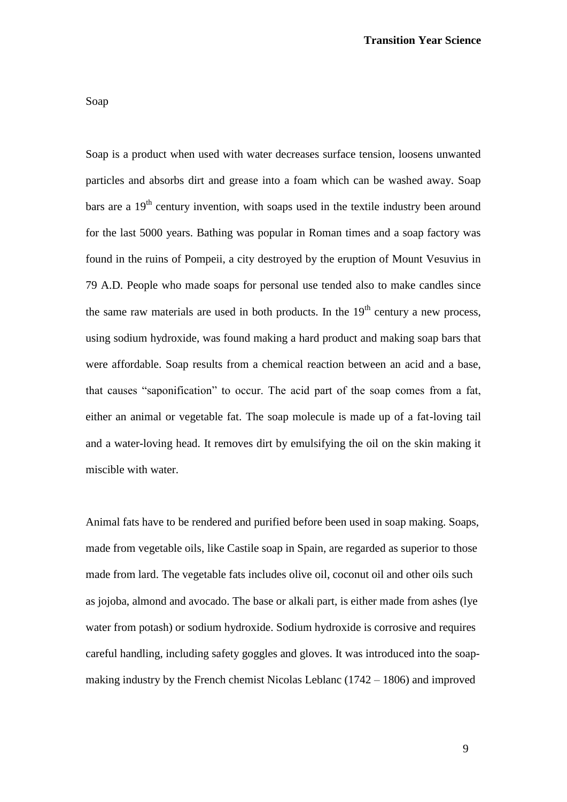Soap is a product when used with water decreases surface tension, loosens unwanted particles and absorbs dirt and grease into a foam which can be washed away. Soap bars are a  $19<sup>th</sup>$  century invention, with soaps used in the textile industry been around for the last 5000 years. Bathing was popular in Roman times and a soap factory was found in the ruins of Pompeii, a city destroyed by the eruption of Mount Vesuvius in 79 A.D. People who made soaps for personal use tended also to make candles since the same raw materials are used in both products. In the  $19<sup>th</sup>$  century a new process, using sodium hydroxide, was found making a hard product and making soap bars that were affordable. Soap results from a chemical reaction between an acid and a base, that causes "saponification" to occur. The acid part of the soap comes from a fat, either an animal or vegetable fat. The soap molecule is made up of a fat-loving tail and a water-loving head. It removes dirt by emulsifying the oil on the skin making it miscible with water.

Animal fats have to be rendered and purified before been used in soap making. Soaps, made from vegetable oils, like Castile soap in Spain, are regarded as superior to those made from lard. The vegetable fats includes olive oil, coconut oil and other oils such as jojoba, almond and avocado. The base or alkali part, is either made from ashes (lye water from potash) or sodium hydroxide. Sodium hydroxide is corrosive and requires careful handling, including safety goggles and gloves. It was introduced into the soapmaking industry by the French chemist Nicolas Leblanc (1742 – 1806) and improved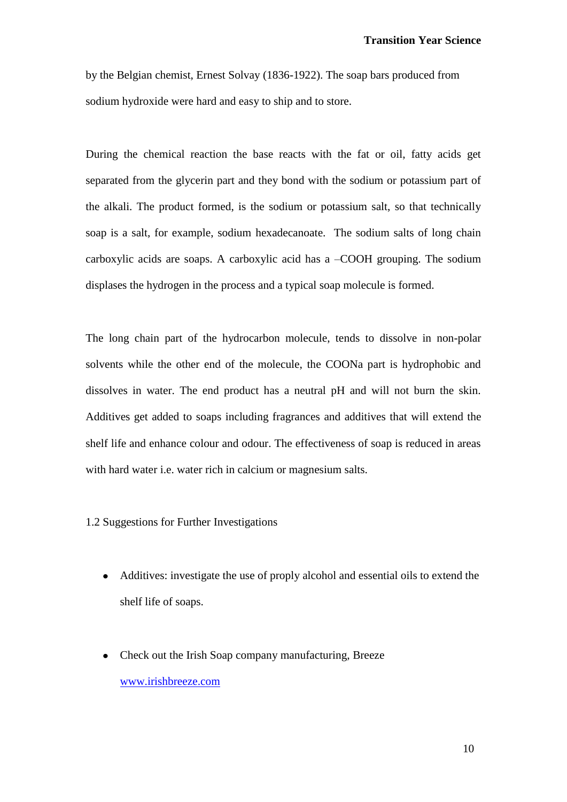by the Belgian chemist, Ernest Solvay (1836-1922). The soap bars produced from sodium hydroxide were hard and easy to ship and to store.

During the chemical reaction the base reacts with the fat or oil, fatty acids get separated from the glycerin part and they bond with the sodium or potassium part of the alkali. The product formed, is the sodium or potassium salt, so that technically soap is a salt, for example, sodium hexadecanoate. The sodium salts of long chain carboxylic acids are soaps. A carboxylic acid has a –COOH grouping. The sodium displases the hydrogen in the process and a typical soap molecule is formed.

The long chain part of the hydrocarbon molecule, tends to dissolve in non-polar solvents while the other end of the molecule, the COONa part is hydrophobic and dissolves in water. The end product has a neutral pH and will not burn the skin. Additives get added to soaps including fragrances and additives that will extend the shelf life and enhance colour and odour. The effectiveness of soap is reduced in areas with hard water i.e. water rich in calcium or magnesium salts.

1.2 Suggestions for Further Investigations

- Additives: investigate the use of proply alcohol and essential oils to extend the shelf life of soaps.
- Check out the Irish Soap company manufacturing, Breeze  $\bullet$ [www.irishbreeze.com](http://www.irishbreeze.com/)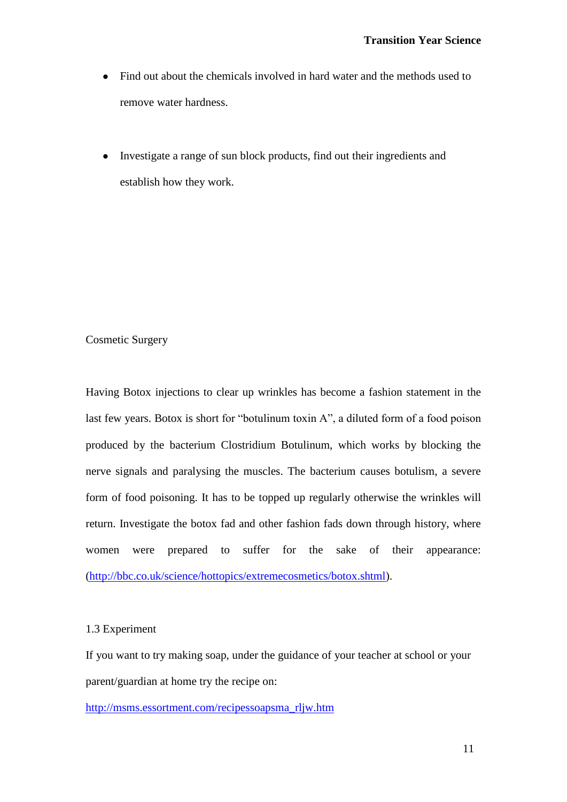- Find out about the chemicals involved in hard water and the methods used to  $\bullet$ remove water hardness.
- Investigate a range of sun block products, find out their ingredients and establish how they work.

### Cosmetic Surgery

Having Botox injections to clear up wrinkles has become a fashion statement in the last few years. Botox is short for "botulinum toxin A", a diluted form of a food poison produced by the bacterium Clostridium Botulinum, which works by blocking the nerve signals and paralysing the muscles. The bacterium causes botulism, a severe form of food poisoning. It has to be topped up regularly otherwise the wrinkles will return. Investigate the botox fad and other fashion fads down through history, where women were prepared to suffer for the sake of their appearance: [\(http://bbc.co.uk/science/hottopics/extremecosmetics/botox.shtml\)](http://bbc.co.uk/science/hottopics/extremecosmetics/botox.shtml).

### 1.3 Experiment

If you want to try making soap, under the guidance of your teacher at school or your parent/guardian at home try the recipe on:

[http://msms.essortment.com/recipessoapsma\\_rljw.htm](http://msms.essortment.com/recipessoapsma_rljw.htm)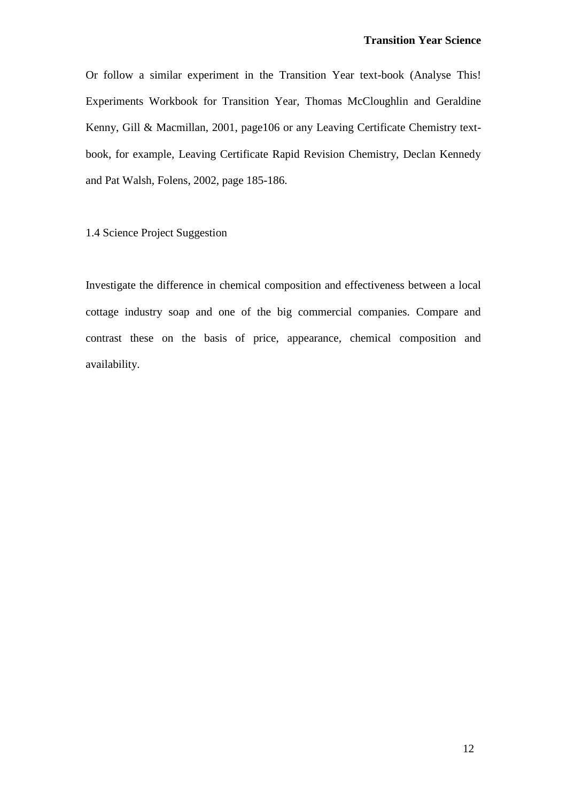Or follow a similar experiment in the Transition Year text-book (Analyse This! Experiments Workbook for Transition Year, Thomas McCloughlin and Geraldine Kenny, Gill & Macmillan, 2001, page106 or any Leaving Certificate Chemistry textbook, for example, Leaving Certificate Rapid Revision Chemistry, Declan Kennedy and Pat Walsh, Folens, 2002, page 185-186.

1.4 Science Project Suggestion

Investigate the difference in chemical composition and effectiveness between a local cottage industry soap and one of the big commercial companies. Compare and contrast these on the basis of price, appearance, chemical composition and availability.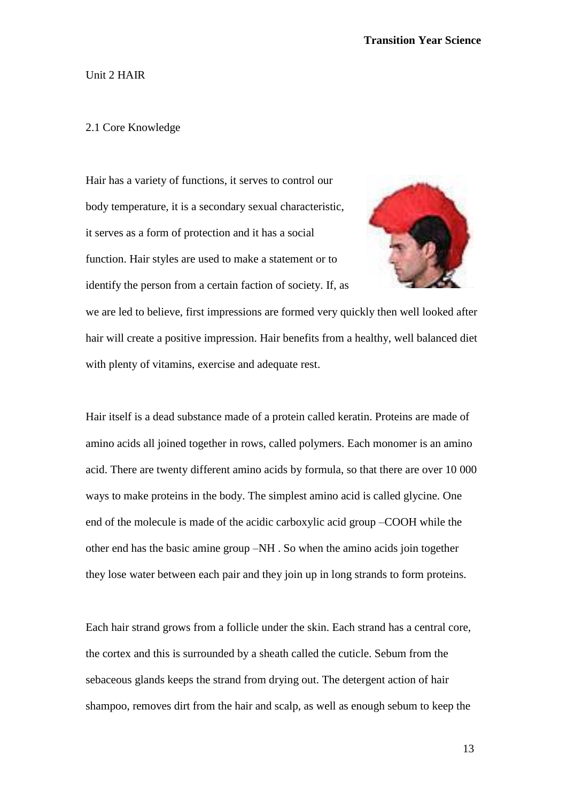#### Unit 2 HAIR

#### 2.1 Core Knowledge

Hair has a variety of functions, it serves to control our body temperature, it is a secondary sexual characteristic, it serves as a form of protection and it has a social function. Hair styles are used to make a statement or to identify the person from a certain faction of society. If, as



we are led to believe, first impressions are formed very quickly then well looked after hair will create a positive impression. Hair benefits from a healthy, well balanced diet with plenty of vitamins, exercise and adequate rest.

Hair itself is a dead substance made of a protein called keratin. Proteins are made of amino acids all joined together in rows, called polymers. Each monomer is an amino acid. There are twenty different amino acids by formula, so that there are over 10 000 ways to make proteins in the body. The simplest amino acid is called glycine. One end of the molecule is made of the acidic carboxylic acid group –COOH while the other end has the basic amine group –NH . So when the amino acids join together they lose water between each pair and they join up in long strands to form proteins.

Each hair strand grows from a follicle under the skin. Each strand has a central core, the cortex and this is surrounded by a sheath called the cuticle. Sebum from the sebaceous glands keeps the strand from drying out. The detergent action of hair shampoo, removes dirt from the hair and scalp, as well as enough sebum to keep the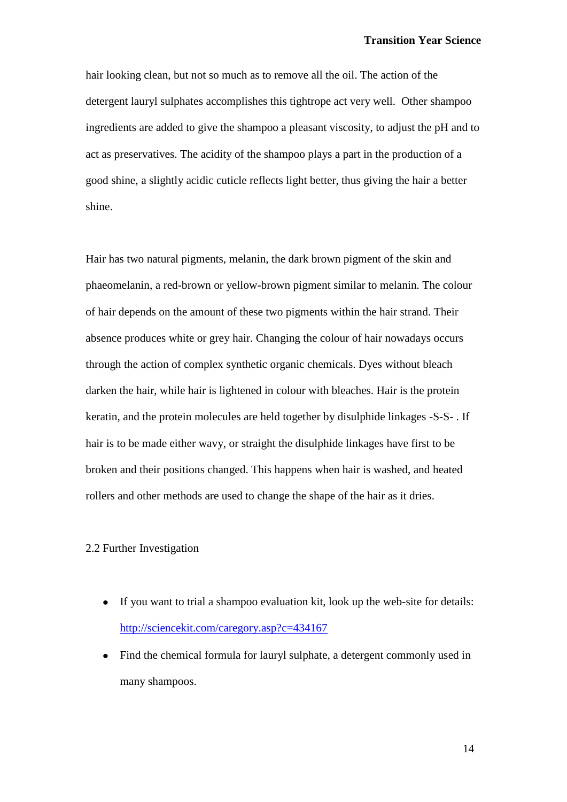hair looking clean, but not so much as to remove all the oil. The action of the detergent lauryl sulphates accomplishes this tightrope act very well. Other shampoo ingredients are added to give the shampoo a pleasant viscosity, to adjust the pH and to act as preservatives. The acidity of the shampoo plays a part in the production of a good shine, a slightly acidic cuticle reflects light better, thus giving the hair a better shine.

Hair has two natural pigments, melanin, the dark brown pigment of the skin and phaeomelanin, a red-brown or yellow-brown pigment similar to melanin. The colour of hair depends on the amount of these two pigments within the hair strand. Their absence produces white or grey hair. Changing the colour of hair nowadays occurs through the action of complex synthetic organic chemicals. Dyes without bleach darken the hair, while hair is lightened in colour with bleaches. Hair is the protein keratin, and the protein molecules are held together by disulphide linkages -S-S- . If hair is to be made either wavy, or straight the disulphide linkages have first to be broken and their positions changed. This happens when hair is washed, and heated rollers and other methods are used to change the shape of the hair as it dries.

### 2.2 Further Investigation

- If you want to trial a shampoo evaluation kit, look up the web-site for details:  $\bullet$ <http://sciencekit.com/caregory.asp?c=434167>
- Find the chemical formula for lauryl sulphate, a detergent commonly used in many shampoos.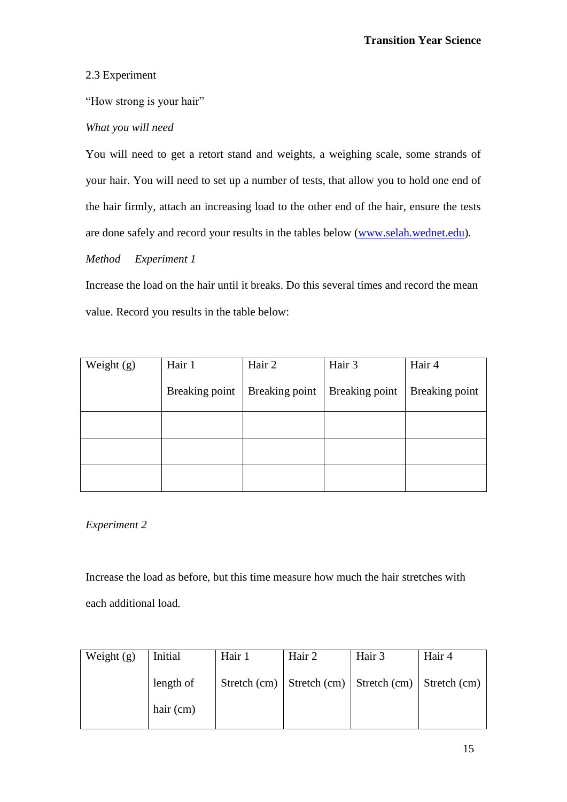# 2.3 Experiment

"How strong is your hair"

# *What you will need*

You will need to get a retort stand and weights, a weighing scale, some strands of your hair. You will need to set up a number of tests, that allow you to hold one end of the hair firmly, attach an increasing load to the other end of the hair, ensure the tests are done safely and record your results in the tables below [\(www.selah.wednet.edu\)](http://www.selah.wednet.edu/).

# *Method Experiment 1*

Increase the load on the hair until it breaks. Do this several times and record the mean value. Record you results in the table below:

| Weight (g) | Hair 1         | Hair 2         | Hair 3         | Hair 4         |
|------------|----------------|----------------|----------------|----------------|
|            | Breaking point | Breaking point | Breaking point | Breaking point |
|            |                |                |                |                |
|            |                |                |                |                |
|            |                |                |                |                |

# *Experiment 2*

Increase the load as before, but this time measure how much the hair stretches with each additional load.

| Weight $(g)$ | Initial   | Hair 1 | Hair 2                                                    | Hair 3 | Hair 4 |
|--------------|-----------|--------|-----------------------------------------------------------|--------|--------|
|              | length of |        | Stretch (cm)   Stretch (cm)   Stretch (cm)   Stretch (cm) |        |        |
|              | hair (cm) |        |                                                           |        |        |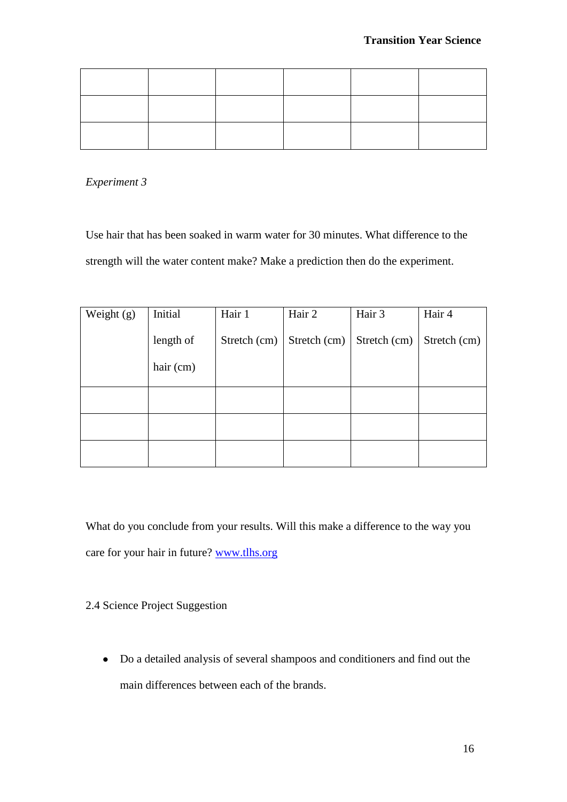*Experiment 3*

Use hair that has been soaked in warm water for 30 minutes. What difference to the strength will the water content make? Make a prediction then do the experiment.

| Weight $(g)$ | Initial   | Hair 1       | Hair 2       | Hair 3       | Hair 4       |
|--------------|-----------|--------------|--------------|--------------|--------------|
|              | length of | Stretch (cm) | Stretch (cm) | Stretch (cm) | Stretch (cm) |
|              | hair (cm) |              |              |              |              |
|              |           |              |              |              |              |
|              |           |              |              |              |              |
|              |           |              |              |              |              |

What do you conclude from your results. Will this make a difference to the way you care for your hair in future? [www.tlhs.org](http://www.tlhs.org/)

### 2.4 Science Project Suggestion

Do a detailed analysis of several shampoos and conditioners and find out the main differences between each of the brands.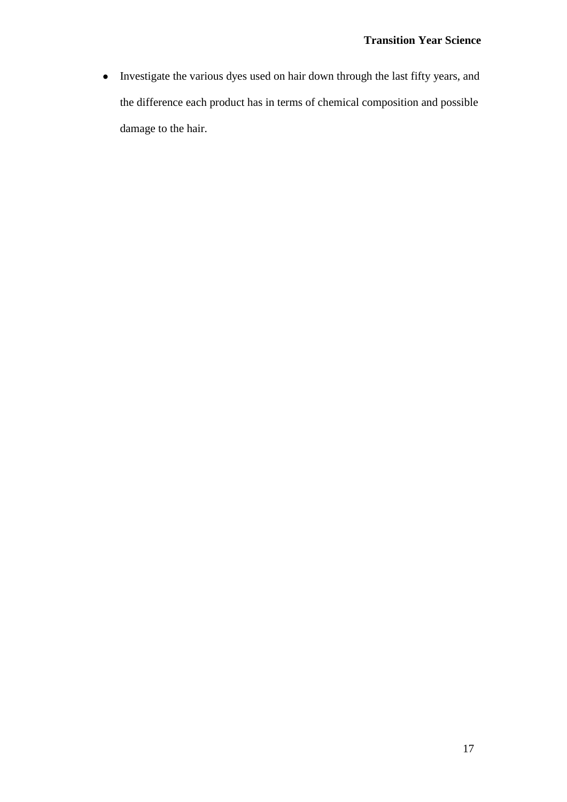Investigate the various dyes used on hair down through the last fifty years, and the difference each product has in terms of chemical composition and possible damage to the hair.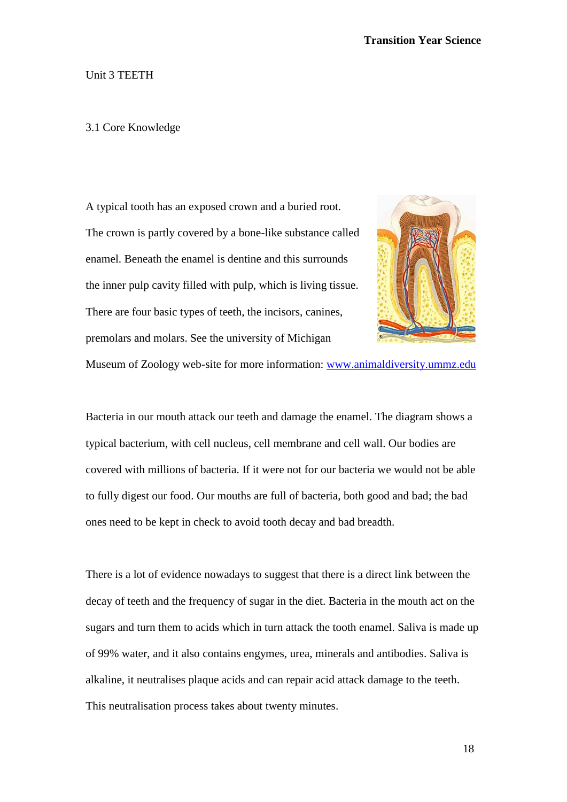#### Unit 3 TEETH

#### 3.1 Core Knowledge

A typical tooth has an exposed crown and a buried root. The crown is partly covered by a bone-like substance called enamel. Beneath the enamel is dentine and this surrounds the inner pulp cavity filled with pulp, which is living tissue. There are four basic types of teeth, the incisors, canines, premolars and molars. See the university of Michigan



Museum of Zoology web-site for more information: [www.animaldiversity.ummz.edu](http://www.animaldiversity.ummz.edu/)

Bacteria in our mouth attack our teeth and damage the enamel. The diagram shows a typical bacterium, with cell nucleus, cell membrane and cell wall. Our bodies are covered with millions of bacteria. If it were not for our bacteria we would not be able to fully digest our food. Our mouths are full of bacteria, both good and bad; the bad ones need to be kept in check to avoid tooth decay and bad breadth.

There is a lot of evidence nowadays to suggest that there is a direct link between the decay of teeth and the frequency of sugar in the diet. Bacteria in the mouth act on the sugars and turn them to acids which in turn attack the tooth enamel. Saliva is made up of 99% water, and it also contains engymes, urea, minerals and antibodies. Saliva is alkaline, it neutralises plaque acids and can repair acid attack damage to the teeth. This neutralisation process takes about twenty minutes.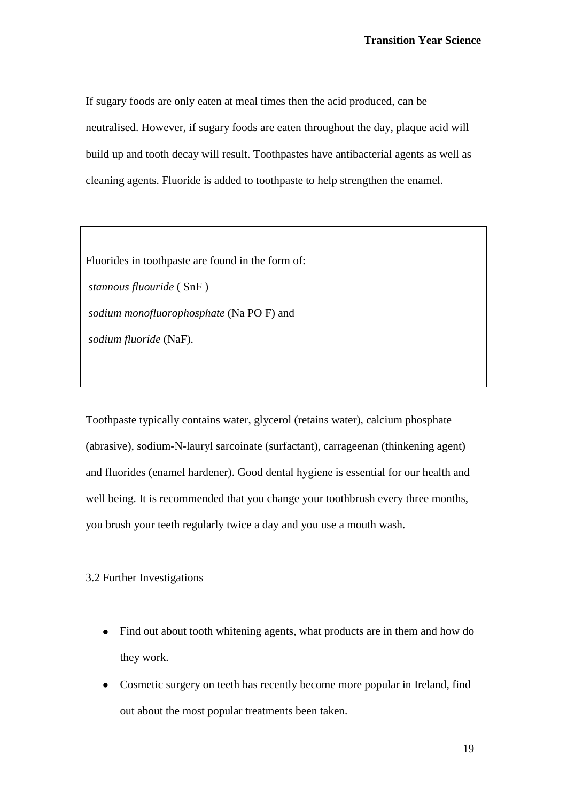If sugary foods are only eaten at meal times then the acid produced, can be neutralised. However, if sugary foods are eaten throughout the day, plaque acid will build up and tooth decay will result. Toothpastes have antibacterial agents as well as cleaning agents. Fluoride is added to toothpaste to help strengthen the enamel.

Fluorides in toothpaste are found in the form of:

*stannous fluouride* ( SnF ) *sodium monofluorophosphate* (Na PO F) and *sodium fluoride* (NaF).

Toothpaste typically contains water, glycerol (retains water), calcium phosphate (abrasive), sodium-N-lauryl sarcoinate (surfactant), carrageenan (thinkening agent) and fluorides (enamel hardener). Good dental hygiene is essential for our health and well being. It is recommended that you change your toothbrush every three months, you brush your teeth regularly twice a day and you use a mouth wash.

### 3.2 Further Investigations

- Find out about tooth whitening agents, what products are in them and how do they work.
- Cosmetic surgery on teeth has recently become more popular in Ireland, find out about the most popular treatments been taken.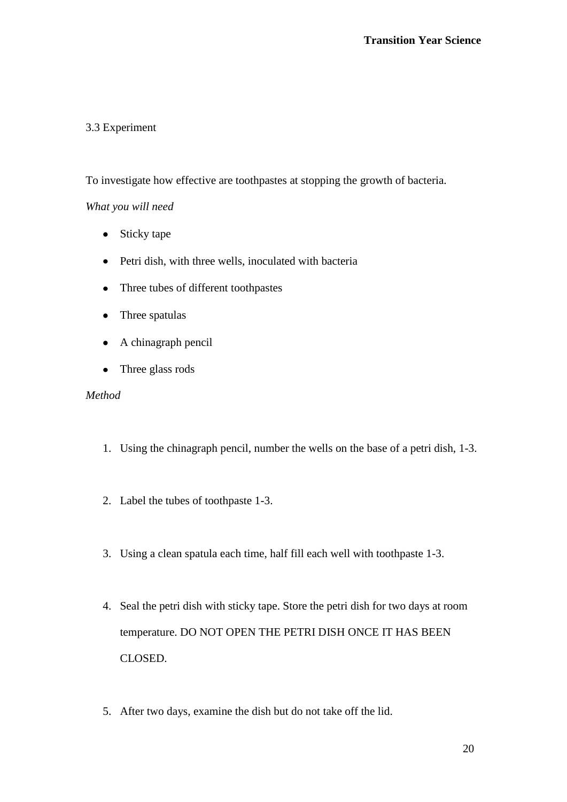# 3.3 Experiment

To investigate how effective are toothpastes at stopping the growth of bacteria.

# *What you will need*

- Sticky tape
- Petri dish, with three wells, inoculated with bacteria
- Three tubes of different toothpastes
- Three spatulas
- A chinagraph pencil  $\bullet$
- Three glass rods  $\bullet$

### *Method*

- 1. Using the chinagraph pencil, number the wells on the base of a petri dish, 1-3.
- 2. Label the tubes of toothpaste 1-3.
- 3. Using a clean spatula each time, half fill each well with toothpaste 1-3.
- 4. Seal the petri dish with sticky tape. Store the petri dish for two days at room temperature. DO NOT OPEN THE PETRI DISH ONCE IT HAS BEEN CLOSED.
- 5. After two days, examine the dish but do not take off the lid.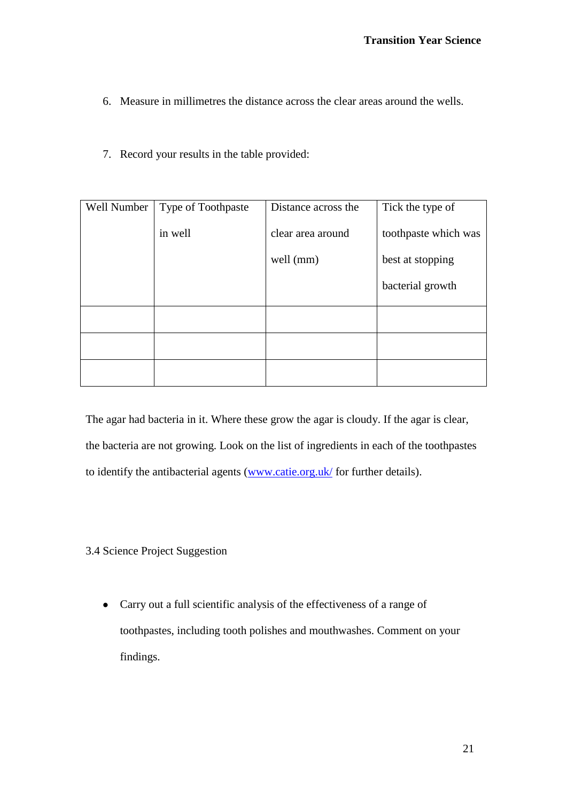- 6. Measure in millimetres the distance across the clear areas around the wells.
- 7. Record your results in the table provided:

| Well Number | Type of Toothpaste | Distance across the | Tick the type of     |
|-------------|--------------------|---------------------|----------------------|
|             | in well            | clear area around   | toothpaste which was |
|             |                    | well (mm)           | best at stopping     |
|             |                    |                     | bacterial growth     |
|             |                    |                     |                      |
|             |                    |                     |                      |
|             |                    |                     |                      |

The agar had bacteria in it. Where these grow the agar is cloudy. If the agar is clear, the bacteria are not growing. Look on the list of ingredients in each of the toothpastes to identify the antibacterial agents [\(www.catie.org.uk/](http://www.catie.org.uk/) for further details).

- 3.4 Science Project Suggestion
	- Carry out a full scientific analysis of the effectiveness of a range of toothpastes, including tooth polishes and mouthwashes. Comment on your findings.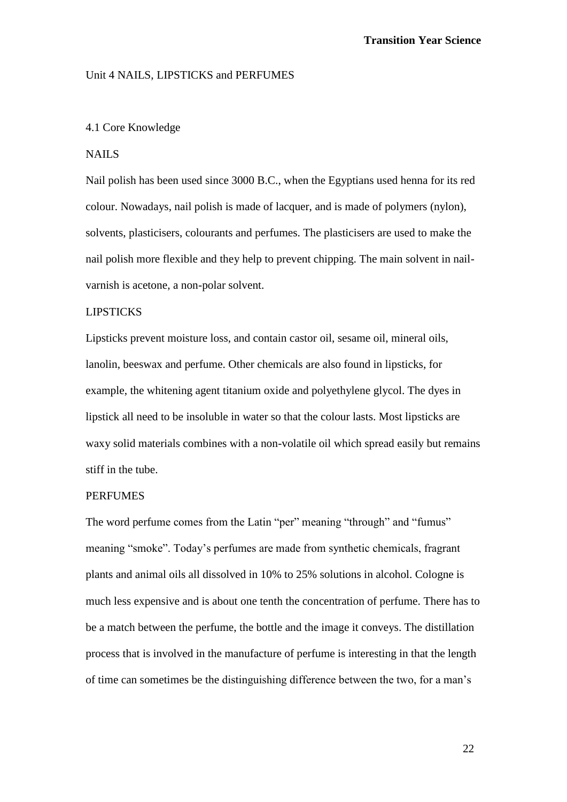#### Unit 4 NAILS, LIPSTICKS and PERFUMES

#### 4.1 Core Knowledge

### **NAILS**

Nail polish has been used since 3000 B.C., when the Egyptians used henna for its red colour. Nowadays, nail polish is made of lacquer, and is made of polymers (nylon), solvents, plasticisers, colourants and perfumes. The plasticisers are used to make the nail polish more flexible and they help to prevent chipping. The main solvent in nailvarnish is acetone, a non-polar solvent.

### LIPSTICKS

Lipsticks prevent moisture loss, and contain castor oil, sesame oil, mineral oils, lanolin, beeswax and perfume. Other chemicals are also found in lipsticks, for example, the whitening agent titanium oxide and polyethylene glycol. The dyes in lipstick all need to be insoluble in water so that the colour lasts. Most lipsticks are waxy solid materials combines with a non-volatile oil which spread easily but remains stiff in the tube.

### PERFUMES

The word perfume comes from the Latin "per" meaning "through" and "fumus" meaning "smoke". Today's perfumes are made from synthetic chemicals, fragrant plants and animal oils all dissolved in 10% to 25% solutions in alcohol. Cologne is much less expensive and is about one tenth the concentration of perfume. There has to be a match between the perfume, the bottle and the image it conveys. The distillation process that is involved in the manufacture of perfume is interesting in that the length of time can sometimes be the distinguishing difference between the two, for a man's

22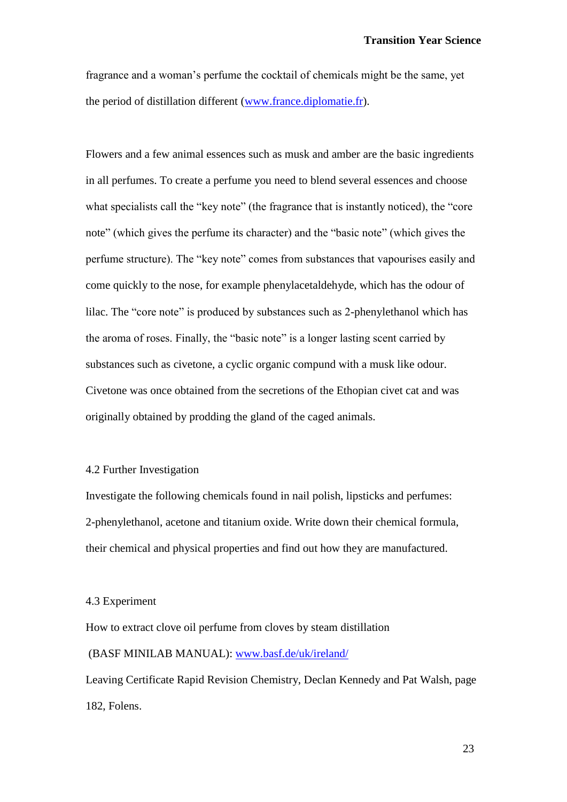fragrance and a woman's perfume the cocktail of chemicals might be the same, yet the period of distillation different [\(www.france.diplomatie.fr\)](http://www.france.diplomatie.fr/).

Flowers and a few animal essences such as musk and amber are the basic ingredients in all perfumes. To create a perfume you need to blend several essences and choose what specialists call the "key note" (the fragrance that is instantly noticed), the "core" note" (which gives the perfume its character) and the "basic note" (which gives the perfume structure). The "key note" comes from substances that vapourises easily and come quickly to the nose, for example phenylacetaldehyde, which has the odour of lilac. The "core note" is produced by substances such as 2-phenylethanol which has the aroma of roses. Finally, the "basic note" is a longer lasting scent carried by substances such as civetone, a cyclic organic compund with a musk like odour. Civetone was once obtained from the secretions of the Ethopian civet cat and was originally obtained by prodding the gland of the caged animals.

#### 4.2 Further Investigation

Investigate the following chemicals found in nail polish, lipsticks and perfumes: 2-phenylethanol, acetone and titanium oxide. Write down their chemical formula, their chemical and physical properties and find out how they are manufactured.

#### 4.3 Experiment

How to extract clove oil perfume from cloves by steam distillation (BASF MINILAB MANUAL): [www.basf.de/uk/ireland/](http://www.basf.de/uk/ireland/) Leaving Certificate Rapid Revision Chemistry, Declan Kennedy and Pat Walsh, page

182, Folens.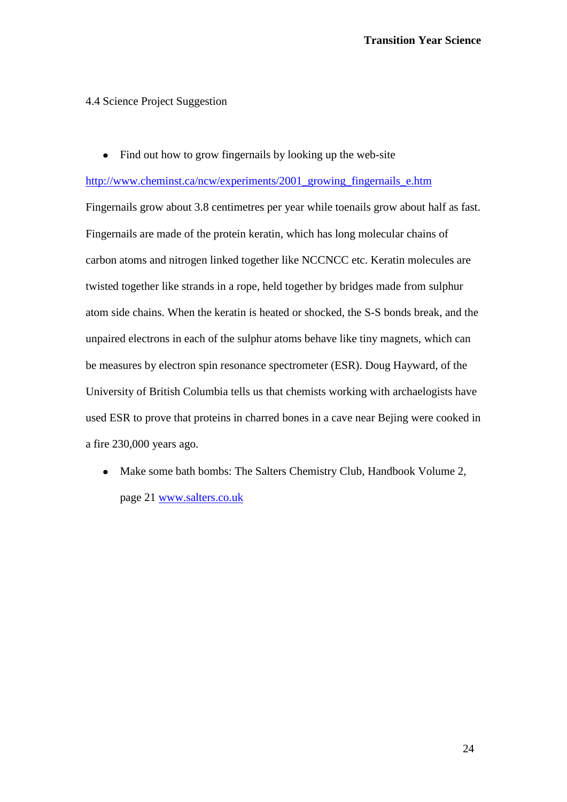### 4.4 Science Project Suggestion

• Find out how to grow fingernails by looking up the web-site

[http://www.cheminst.ca/ncw/experiments/2001\\_growing\\_fingernails\\_e.htm](http://www.cheminst.ca/ncw/experiments/2001_growing_fingernails_e.htm)

Fingernails grow about 3.8 centimetres per year while toenails grow about half as fast. Fingernails are made of the protein keratin, which has long molecular chains of carbon atoms and nitrogen linked together like NCCNCC etc. Keratin molecules are twisted together like strands in a rope, held together by bridges made from sulphur atom side chains. When the keratin is heated or shocked, the S-S bonds break, and the unpaired electrons in each of the sulphur atoms behave like tiny magnets, which can be measures by electron spin resonance spectrometer (ESR). Doug Hayward, of the University of British Columbia tells us that chemists working with archaelogists have used ESR to prove that proteins in charred bones in a cave near Bejing were cooked in a fire 230,000 years ago.

• Make some bath bombs: The Salters Chemistry Club, Handbook Volume 2, page 21 [www.salters.co.uk](http://www.salters.co.uk/)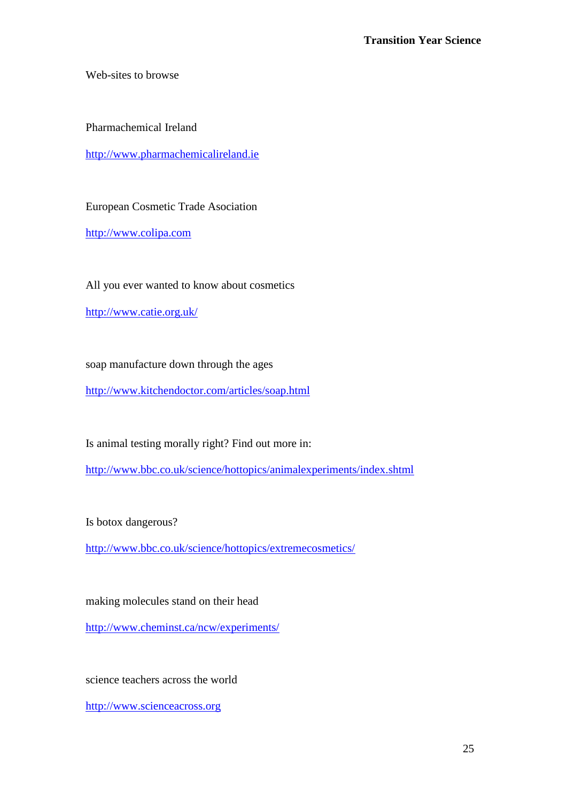Web-sites to browse

Pharmachemical Ireland

[http://www.pharmachemicalireland.ie](http://www.pharmachemicalireland.ie/)

European Cosmetic Trade Asociation

[http://www.colipa.com](http://www.colipa.com/)

All you ever wanted to know about cosmetics

<http://www.catie.org.uk/>

soap manufacture down through the ages

<http://www.kitchendoctor.com/articles/soap.html>

Is animal testing morally right? Find out more in:

<http://www.bbc.co.uk/science/hottopics/animalexperiments/index.shtml>

Is botox dangerous?

<http://www.bbc.co.uk/science/hottopics/extremecosmetics/>

making molecules stand on their head

<http://www.cheminst.ca/ncw/experiments/>

science teachers across the world

[http://www.scienceacross.org](http://www.scienceacross.org/)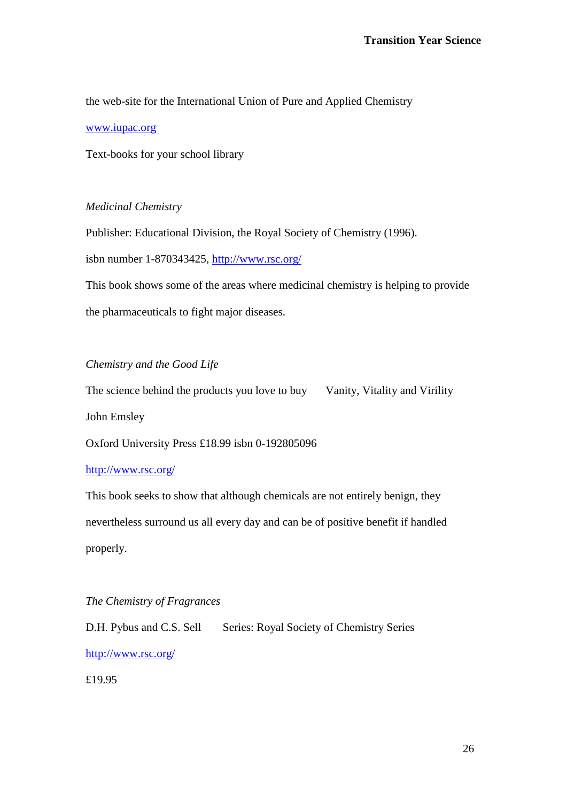the web-site for the International Union of Pure and Applied Chemistry

[www.iupac.org](http://www.iupac.org/)

Text-books for your school library

# *Medicinal Chemistry*

Publisher: Educational Division, the Royal Society of Chemistry (1996).

isbn number 1-870343425,<http://www.rsc.org/>

This book shows some of the areas where medicinal chemistry is helping to provide the pharmaceuticals to fight major diseases.

# *Chemistry and the Good Life*

The science behind the products you love to buy Vanity, Vitality and Virility

John Emsley

Oxford University Press £18.99 isbn 0-192805096

### <http://www.rsc.org/>

This book seeks to show that although chemicals are not entirely benign, they nevertheless surround us all every day and can be of positive benefit if handled properly.

# *The Chemistry of Fragrances*

D.H. Pybus and C.S. Sell Series: Royal Society of Chemistry Series <http://www.rsc.org/>

£19.95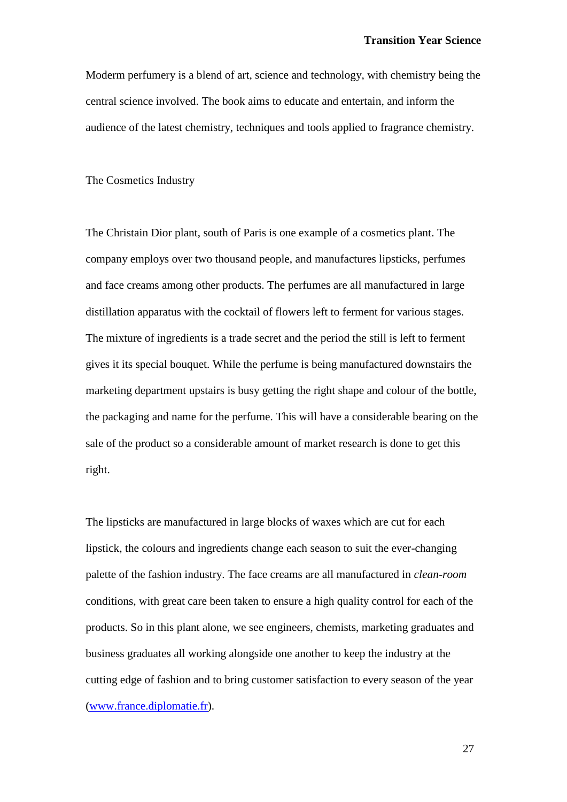Moderm perfumery is a blend of art, science and technology, with chemistry being the central science involved. The book aims to educate and entertain, and inform the audience of the latest chemistry, techniques and tools applied to fragrance chemistry.

The Cosmetics Industry

The Christain Dior plant, south of Paris is one example of a cosmetics plant. The company employs over two thousand people, and manufactures lipsticks, perfumes and face creams among other products. The perfumes are all manufactured in large distillation apparatus with the cocktail of flowers left to ferment for various stages. The mixture of ingredients is a trade secret and the period the still is left to ferment gives it its special bouquet. While the perfume is being manufactured downstairs the marketing department upstairs is busy getting the right shape and colour of the bottle, the packaging and name for the perfume. This will have a considerable bearing on the sale of the product so a considerable amount of market research is done to get this right.

The lipsticks are manufactured in large blocks of waxes which are cut for each lipstick, the colours and ingredients change each season to suit the ever-changing palette of the fashion industry. The face creams are all manufactured in *clean-room* conditions, with great care been taken to ensure a high quality control for each of the products. So in this plant alone, we see engineers, chemists, marketing graduates and business graduates all working alongside one another to keep the industry at the cutting edge of fashion and to bring customer satisfaction to every season of the year [\(www.france.diplomatie.fr\)](http://www.france.diplomatie.fr/).

27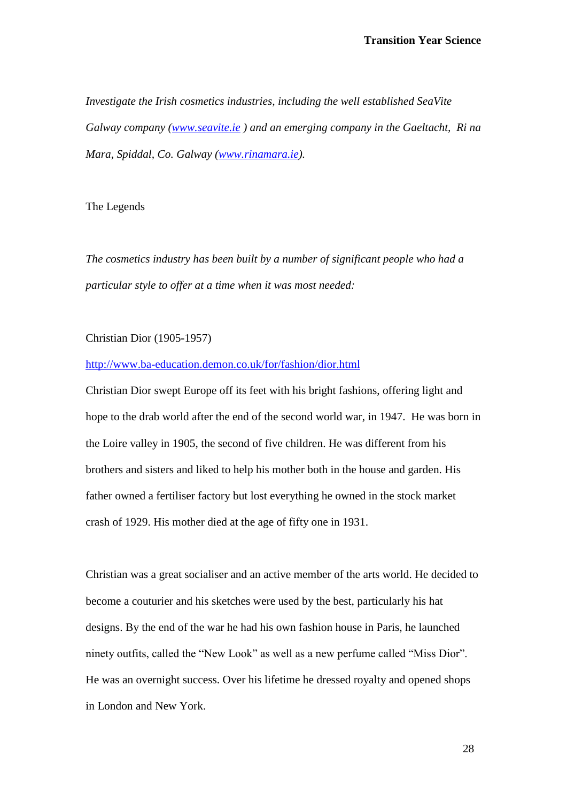*Investigate the Irish cosmetics industries, including the well established SeaVite Galway company [\(www.seavite.ie](http://www.seavite.ie/) ) and an emerging company in the Gaeltacht, Ri na Mara, Spiddal, Co. Galway [\(www.rinamara.ie\)](http://www.rinamara.ie/).*

### The Legends

*The cosmetics industry has been built by a number of significant people who had a particular style to offer at a time when it was most needed:*

Christian Dior (1905-1957)

#### <http://www.ba-education.demon.co.uk/for/fashion/dior.html>

Christian Dior swept Europe off its feet with his bright fashions, offering light and hope to the drab world after the end of the second world war, in 1947. He was born in the Loire valley in 1905, the second of five children. He was different from his brothers and sisters and liked to help his mother both in the house and garden. His father owned a fertiliser factory but lost everything he owned in the stock market crash of 1929. His mother died at the age of fifty one in 1931.

Christian was a great socialiser and an active member of the arts world. He decided to become a couturier and his sketches were used by the best, particularly his hat designs. By the end of the war he had his own fashion house in Paris, he launched ninety outfits, called the "New Look" as well as a new perfume called "Miss Dior". He was an overnight success. Over his lifetime he dressed royalty and opened shops in London and New York.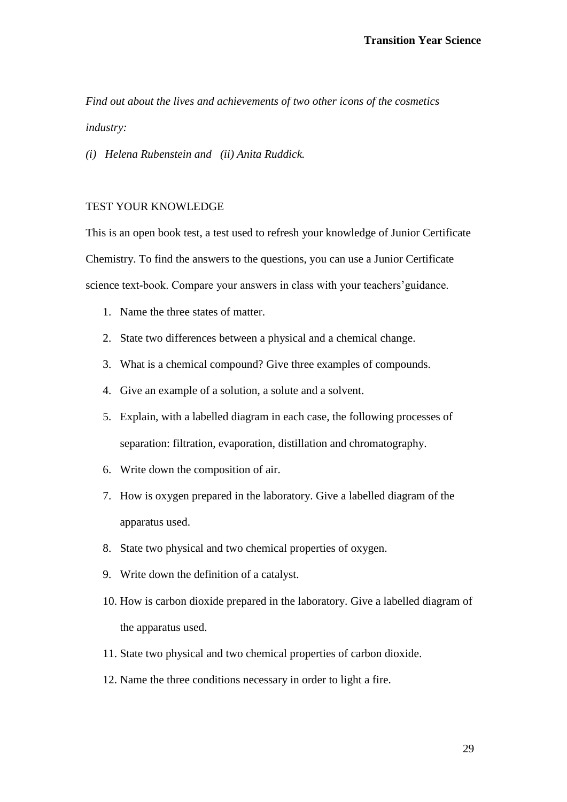*Find out about the lives and achievements of two other icons of the cosmetics industry:*

*(i) Helena Rubenstein and (ii) Anita Ruddick.*

### TEST YOUR KNOWLEDGE

This is an open book test, a test used to refresh your knowledge of Junior Certificate Chemistry. To find the answers to the questions, you can use a Junior Certificate science text-book. Compare your answers in class with your teachers'guidance.

- 1. Name the three states of matter.
- 2. State two differences between a physical and a chemical change.
- 3. What is a chemical compound? Give three examples of compounds.
- 4. Give an example of a solution, a solute and a solvent.
- 5. Explain, with a labelled diagram in each case, the following processes of separation: filtration, evaporation, distillation and chromatography.
- 6. Write down the composition of air.
- 7. How is oxygen prepared in the laboratory. Give a labelled diagram of the apparatus used.
- 8. State two physical and two chemical properties of oxygen.
- 9. Write down the definition of a catalyst.
- 10. How is carbon dioxide prepared in the laboratory. Give a labelled diagram of the apparatus used.
- 11. State two physical and two chemical properties of carbon dioxide.
- 12. Name the three conditions necessary in order to light a fire.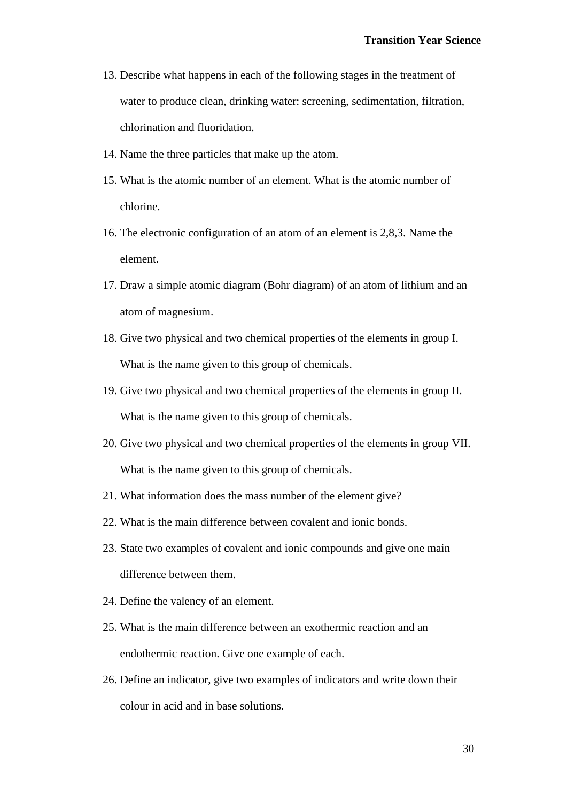- 13. Describe what happens in each of the following stages in the treatment of water to produce clean, drinking water: screening, sedimentation, filtration, chlorination and fluoridation.
- 14. Name the three particles that make up the atom.
- 15. What is the atomic number of an element. What is the atomic number of chlorine.
- 16. The electronic configuration of an atom of an element is 2,8,3. Name the element.
- 17. Draw a simple atomic diagram (Bohr diagram) of an atom of lithium and an atom of magnesium.
- 18. Give two physical and two chemical properties of the elements in group I. What is the name given to this group of chemicals.
- 19. Give two physical and two chemical properties of the elements in group II. What is the name given to this group of chemicals.
- 20. Give two physical and two chemical properties of the elements in group VII. What is the name given to this group of chemicals.
- 21. What information does the mass number of the element give?
- 22. What is the main difference between covalent and ionic bonds.
- 23. State two examples of covalent and ionic compounds and give one main difference between them.
- 24. Define the valency of an element.
- 25. What is the main difference between an exothermic reaction and an endothermic reaction. Give one example of each.
- 26. Define an indicator, give two examples of indicators and write down their colour in acid and in base solutions.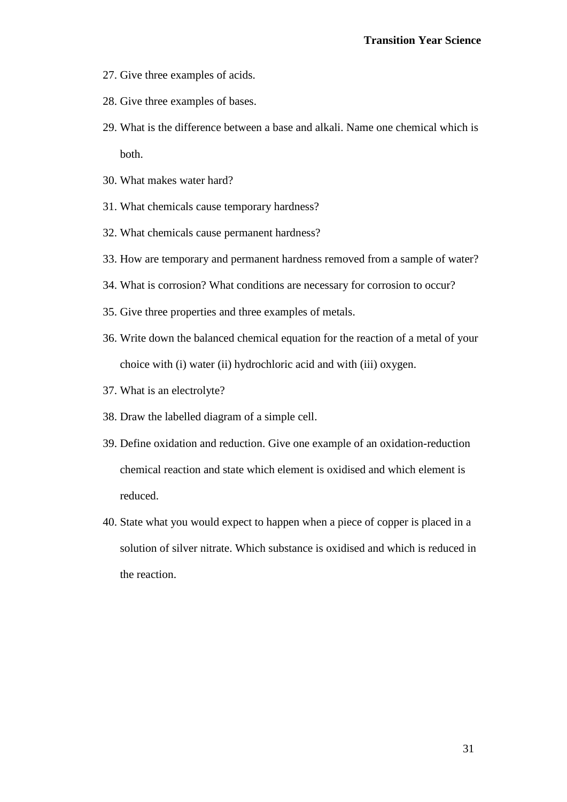- 27. Give three examples of acids.
- 28. Give three examples of bases.
- 29. What is the difference between a base and alkali. Name one chemical which is both.
- 30. What makes water hard?
- 31. What chemicals cause temporary hardness?
- 32. What chemicals cause permanent hardness?
- 33. How are temporary and permanent hardness removed from a sample of water?
- 34. What is corrosion? What conditions are necessary for corrosion to occur?
- 35. Give three properties and three examples of metals.
- 36. Write down the balanced chemical equation for the reaction of a metal of your choice with (i) water (ii) hydrochloric acid and with (iii) oxygen.
- 37. What is an electrolyte?
- 38. Draw the labelled diagram of a simple cell.
- 39. Define oxidation and reduction. Give one example of an oxidation-reduction chemical reaction and state which element is oxidised and which element is reduced.
- 40. State what you would expect to happen when a piece of copper is placed in a solution of silver nitrate. Which substance is oxidised and which is reduced in the reaction.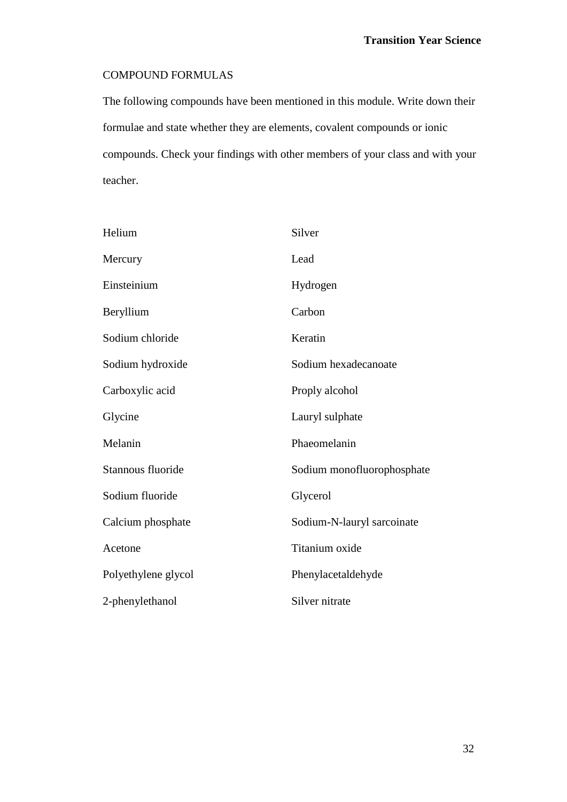# COMPOUND FORMULAS

The following compounds have been mentioned in this module. Write down their formulae and state whether they are elements, covalent compounds or ionic compounds. Check your findings with other members of your class and with your teacher.

| Helium              | Silver                     |
|---------------------|----------------------------|
| Mercury             | Lead                       |
| Einsteinium         | Hydrogen                   |
| Beryllium           | Carbon                     |
| Sodium chloride     | Keratin                    |
| Sodium hydroxide    | Sodium hexadecanoate       |
| Carboxylic acid     | Proply alcohol             |
| Glycine             | Lauryl sulphate            |
| Melanin             | Phaeomelanin               |
| Stannous fluoride   | Sodium monofluorophosphate |
| Sodium fluoride     | Glycerol                   |
| Calcium phosphate   | Sodium-N-lauryl sarcoinate |
| Acetone             | Titanium oxide             |
| Polyethylene glycol | Phenylacetaldehyde         |
| 2-phenylethanol     | Silver nitrate             |